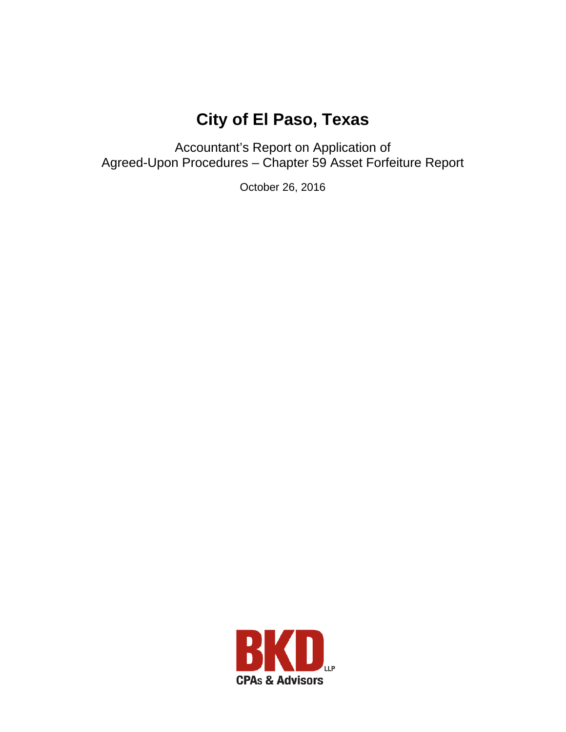# **City of El Paso, Texas**

Accountant's Report on Application of Agreed-Upon Procedures – Chapter 59 Asset Forfeiture Report

October 26, 2016

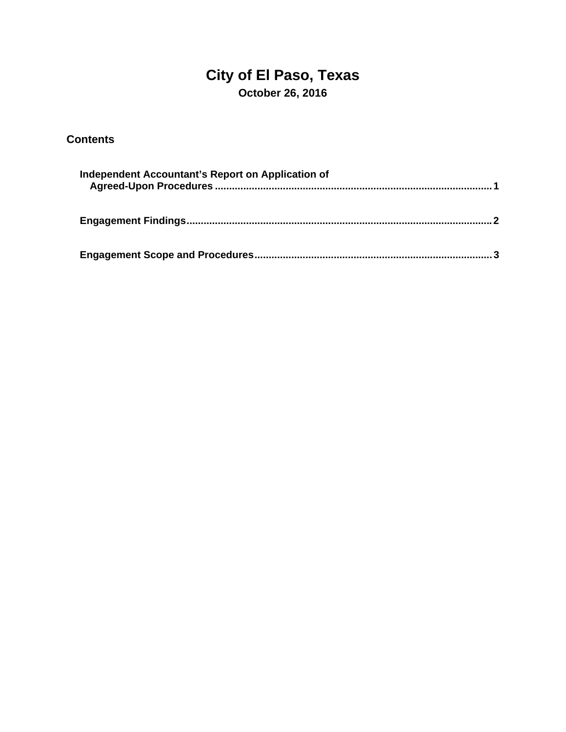# **City of El Paso, Texas October 26, 2016**

### **Contents**

| Independent Accountant's Report on Application of |  |
|---------------------------------------------------|--|
|                                                   |  |
|                                                   |  |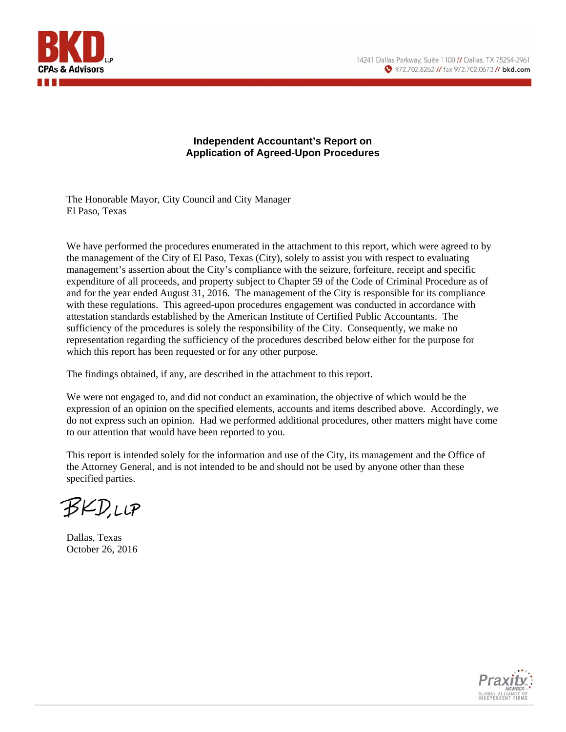



#### **Independent Accountant's Report on Application of Agreed-Upon Procedures**

The Honorable Mayor, City Council and City Manager El Paso, Texas

We have performed the procedures enumerated in the attachment to this report, which were agreed to by the management of the City of El Paso, Texas (City), solely to assist you with respect to evaluating management's assertion about the City's compliance with the seizure, forfeiture, receipt and specific expenditure of all proceeds, and property subject to Chapter 59 of the Code of Criminal Procedure as of and for the year ended August 31, 2016. The management of the City is responsible for its compliance with these regulations. This agreed-upon procedures engagement was conducted in accordance with attestation standards established by the American Institute of Certified Public Accountants. The sufficiency of the procedures is solely the responsibility of the City. Consequently, we make no representation regarding the sufficiency of the procedures described below either for the purpose for which this report has been requested or for any other purpose.

The findings obtained, if any, are described in the attachment to this report.

We were not engaged to, and did not conduct an examination, the objective of which would be the expression of an opinion on the specified elements, accounts and items described above. Accordingly, we do not express such an opinion. Had we performed additional procedures, other matters might have come to our attention that would have been reported to you.

This report is intended solely for the information and use of the City, its management and the Office of the Attorney General, and is not intended to be and should not be used by anyone other than these specified parties.

BKD.LLP

Dallas, Texas October 26, 2016

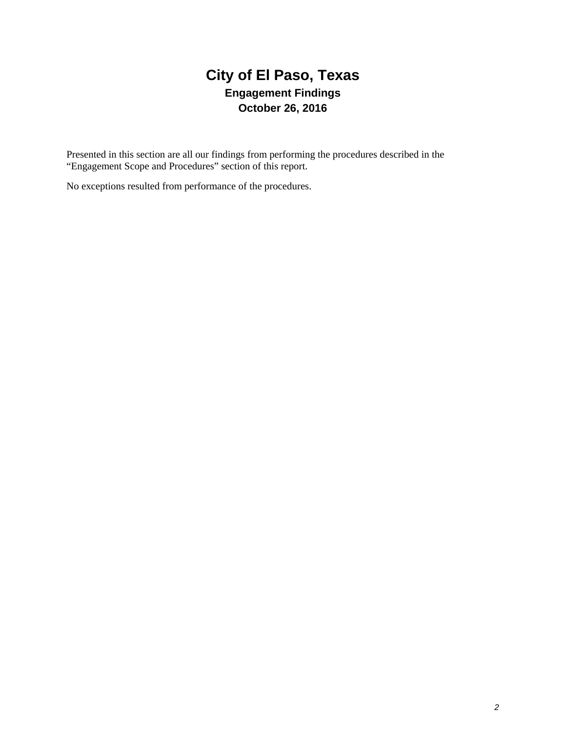# **City of El Paso, Texas Engagement Findings October 26, 2016**

Presented in this section are all our findings from performing the procedures described in the "Engagement Scope and Procedures" section of this report.

No exceptions resulted from performance of the procedures.